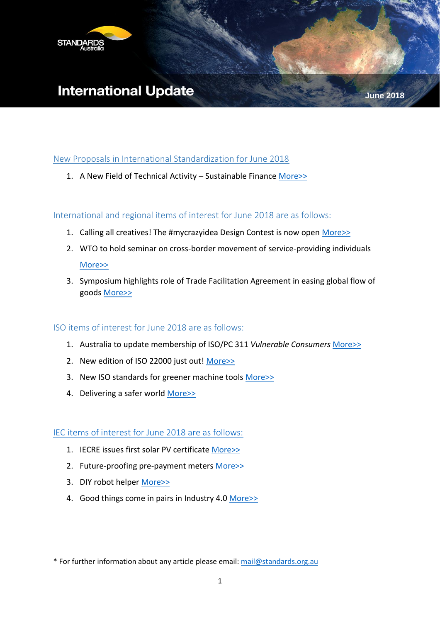

# **International Update**

New Proposals [in International Standardization for June 2018](#page-1-0)

1. A New Field of Technical Activity – Sustainable Finance [More>>](#page-1-1)

### International and regional items of interest for June 2018 are as follows:

- 1. Calling all creatives! The #mycrazyidea Design Contest is now open [More>>](#page-2-0)
- 2. WTO to hold seminar on cross-border movement of service-providing individuals [More>>](#page-2-1)
- 3. Symposium highlights role of Trade Facilitation Agreement in easing global flow of goods [More>>](#page-3-0)

### ISO items of interest for June 2018 are as follows:

- 1. Australia to update membership of ISO/PC 311 *Vulnerable Consumers* [More>>](#page-5-0)
- 2. New edition of ISO 22000 just out! [More>>](#page-5-1)
- 3. New ISO standards for greener machine tools [More>>](#page-6-0)
- 4. Delivering a safer world [More>>](#page-7-0)

[IEC items of interest for June 2018 are as follows:](#page-8-0)

- 1. IECRE issues first solar PV certificate [More>>](#page-9-0)
- 2. Future-proofing pre-payment meters [More>>](#page-10-0)
- 3. DIY robot helper [More>>](#page-11-0)
- 4. Good things come in pairs in Industry 4.0 [More>>](#page-12-0)

\* For further information about any article please email: [mail@standards.org.au](mailto:mail@standards.org.au)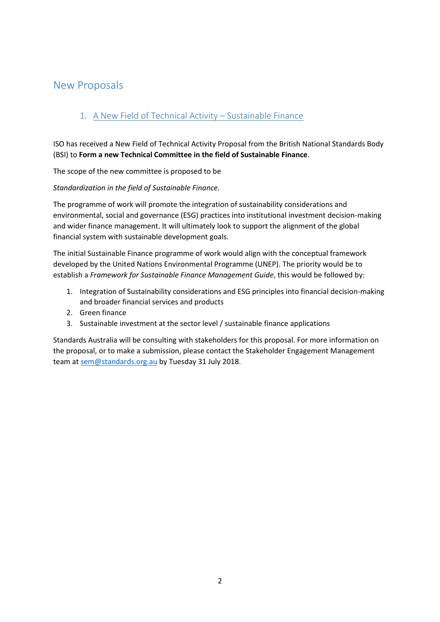# <span id="page-1-0"></span>New Proposals

# <span id="page-1-1"></span>1. A New Field of Technical Activity – Sustainable Finance

ISO has received a New Field of Technical Activity Proposal from the British National Standards Body (BSI) to **Form a new Technical Committee in the field of Sustainable Finance**.

The scope of the new committee is proposed to be

*Standardization in the field of Sustainable Finance.* 

The programme of work will promote the integration of sustainability considerations and environmental, social and governance (ESG) practices into institutional investment decision-making and wider finance management. It will ultimately look to support the alignment of the global financial system with sustainable development goals.

The initial Sustainable Finance programme of work would align with the conceptual framework developed by the United Nations Environmental Programme (UNEP). The priority would be to establish a *Framework for Sustainable Finance Management Guide*, this would be followed by:

- 1. Integration of Sustainability considerations and ESG principles into financial decision-making and broader financial services and products
- 2. Green finance
- 3. Sustainable investment at the sector level / sustainable finance applications

Standards Australia will be consulting with stakeholders for this proposal. For more information on the proposal, or to make a submission, please contact the Stakeholder Engagement Management team at [sem@standards.org.au](mailto:sem@standards.org.au) by Tuesday 31 July 2018.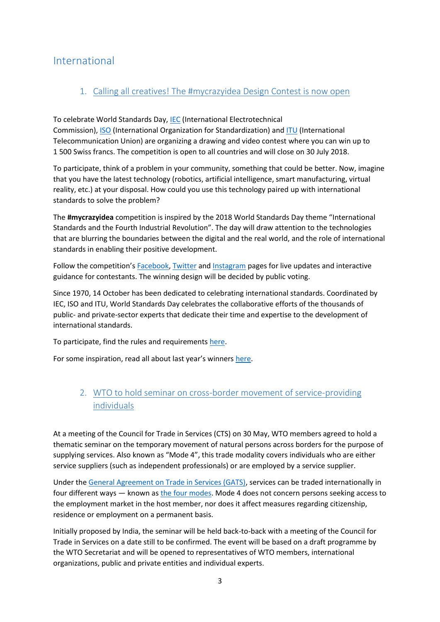# International

### <span id="page-2-0"></span>1. Calling all creatives! The #mycrazyidea Design Contest is now open

To celebrate World Standards Day, [IEC](http://www.iec.ch/) (International Electrotechnical Commission), [ISO](https://www.iso.org/home.html) (International Organization for Standardization) and [ITU](https://www.itu.int/en/Pages/default.aspx) (International Telecommunication Union) are organizing a drawing and video contest where you can win up to 1 500 Swiss francs. The competition is open to all countries and will close on 30 July 2018.

To participate, think of a problem in your community, something that could be better. Now, imagine that you have the latest technology (robotics, artificial intelligence, smart manufacturing, virtual reality, etc.) at your disposal. How could you use this technology paired up with international standards to solve the problem?

The **#mycrazyidea** competition is inspired by the 2018 World Standards Day theme "International Standards and the Fourth Industrial Revolution". The day will draw attention to the technologies that are blurring the boundaries between the digital and the real world, and the role of international standards in enabling their positive development.

Follow the competition's [Facebook,](https://www.facebook.com/wsdcontest/) [Twitter](https://twitter.com/WSDcontest?lang=en) and [Instagram](https://www.instagram.com/wsdcontest/?hl=en) pages for live updates and interactive guidance for contestants. The winning design will be decided by public voting.

Since 1970, 14 October has been dedicated to celebrating international standards. Coordinated by IEC, ISO and ITU, World Standards Day celebrates the collaborative efforts of the thousands of public- and private-sector experts that dedicate their time and expertise to the development of international standards.

To participate, find the rules and requirements [here.](https://www.worldstandardscooperation.org/world-standards-day/world-standards-day-2018/)

For some inspiration, read all about last year's winners [here.](https://www.worldstandardscooperation.org/world-standards-day/world-standards-day-2017/)

### <span id="page-2-1"></span>2. WTO to hold seminar on cross-border movement of service-providing individuals

At a meeting of the Council for Trade in Services (CTS) on 30 May, WTO members agreed to hold a thematic seminar on the temporary movement of natural persons across borders for the purpose of supplying services. Also known as "Mode 4", this trade modality covers individuals who are either service suppliers (such as independent professionals) or are employed by a service supplier.

Under the [General Agreement on Trade in Services \(GATS\),](https://www.wto.org/english/docs_e/legal_e/26-gats_01_e.htm) services can be traded internationally in four different ways — known as [the four modes.](https://www.wto.org/english/tratop_e/serv_e/cbt_course_e/c1s3p1_e.htm) Mode 4 does not concern persons seeking access to the employment market in the host member, nor does it affect measures regarding citizenship, residence or employment on a permanent basis.

Initially proposed by India, the seminar will be held back-to-back with a meeting of the Council for Trade in Services on a date still to be confirmed. The event will be based on a draft programme by the WTO Secretariat and will be opened to representatives of WTO members, international organizations, public and private entities and individual experts.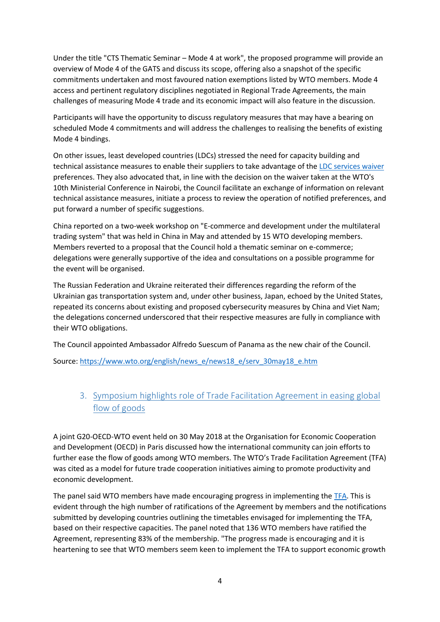Under the title "CTS Thematic Seminar – Mode 4 at work", the proposed programme will provide an overview of Mode 4 of the GATS and discuss its scope, offering also a snapshot of the specific commitments undertaken and most favoured nation exemptions listed by WTO members. Mode 4 access and pertinent regulatory disciplines negotiated in Regional Trade Agreements, the main challenges of measuring Mode 4 trade and its economic impact will also feature in the discussion.

Participants will have the opportunity to discuss regulatory measures that may have a bearing on scheduled Mode 4 commitments and will address the challenges to realising the benefits of existing Mode 4 bindings.

On other issues, least developed countries (LDCs) stressed the need for capacity building and technical assistance measures to enable their suppliers to take advantage of the [LDC services waiver](https://www.wto.org/english/tratop_e/serv_e/ldc_mods_negs_e.htm) preferences. They also advocated that, in line with the decision on the waiver taken at the WTO's 10th Ministerial Conference in Nairobi, the Council facilitate an exchange of information on relevant technical assistance measures, initiate a process to review the operation of notified preferences, and put forward a number of specific suggestions.

China reported on a two-week workshop on "E-commerce and development under the multilateral trading system" that was held in China in May and attended by 15 WTO developing members. Members reverted to a proposal that the Council hold a thematic seminar on e-commerce; delegations were generally supportive of the idea and consultations on a possible programme for the event will be organised.

The Russian Federation and Ukraine reiterated their differences regarding the reform of the Ukrainian gas transportation system and, under other business, Japan, echoed by the United States, repeated its concerns about existing and proposed cybersecurity measures by China and Viet Nam; the delegations concerned underscored that their respective measures are fully in compliance with their WTO obligations.

The Council appointed Ambassador Alfredo Suescum of Panama as the new chair of the Council.

Source: [https://www.wto.org/english/news\\_e/news18\\_e/serv\\_30may18\\_e.htm](https://www.wto.org/english/news_e/news18_e/serv_30may18_e.htm)

### <span id="page-3-0"></span>3. Symposium highlights role of Trade Facilitation Agreement in easing global flow of goods

A joint G20-OECD-WTO event held on 30 May 2018 at the Organisation for Economic Cooperation and Development (OECD) in Paris discussed how the international community can join efforts to further ease the flow of goods among WTO members. The WTO's Trade Facilitation Agreement (TFA) was cited as a model for future trade cooperation initiatives aiming to promote productivity and economic development.

The panel said WTO members have made encouraging progress in implementing the [TFA.](https://www.wto.org/english/tratop_e/tradfa_e/tradfa_e.htm) This is evident through the high number of ratifications of the Agreement by members and the notifications submitted by developing countries outlining the timetables envisaged for implementing the TFA, based on their respective capacities. The panel noted that 136 WTO members have ratified the Agreement, representing 83% of the membership. "The progress made is encouraging and it is heartening to see that WTO members seem keen to implement the TFA to support economic growth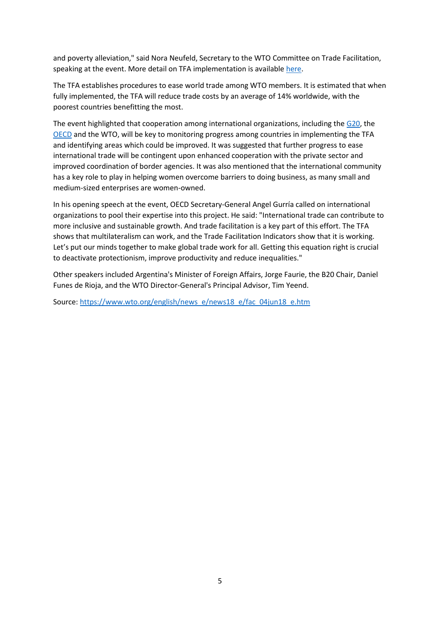and poverty alleviation," said Nora Neufeld, Secretary to the WTO Committee on Trade Facilitation, speaking at the event. More detail on TFA implementation is available [here.](https://www.wto.org/english/news_e/news18_e/fac_02may18_e.htm)

The TFA establishes procedures to ease world trade among WTO members. It is estimated that when fully implemented, the TFA will reduce trade costs by an average of 14% worldwide, with the poorest countries benefitting the most.

The event highlighted that cooperation among international organizations, including the [G20,](https://www.g20.org/) the [OECD](http://www.oecd.org/) and the WTO, will be key to monitoring progress among countries in implementing the TFA and identifying areas which could be improved. It was suggested that further progress to ease international trade will be contingent upon enhanced cooperation with the private sector and improved coordination of border agencies. It was also mentioned that the international community has a key role to play in helping women overcome barriers to doing business, as many small and medium-sized enterprises are women-owned.

In his opening speech at the event, OECD Secretary-General Angel Gurría called on international organizations to pool their expertise into this project. He said: "International trade can contribute to more inclusive and sustainable growth. And trade facilitation is a key part of this effort. The TFA shows that multilateralism can work, and the Trade Facilitation Indicators show that it is working. Let's put our minds together to make global trade work for all. Getting this equation right is crucial to deactivate protectionism, improve productivity and reduce inequalities."

Other speakers included Argentina's Minister of Foreign Affairs, Jorge Faurie, the B20 Chair, Daniel Funes de Rioja, and the WTO Director-General's Principal Advisor, Tim Yeend.

Source: [https://www.wto.org/english/news\\_e/news18\\_e/fac\\_04jun18\\_e.htm](https://www.wto.org/english/news_e/news18_e/fac_04jun18_e.htm)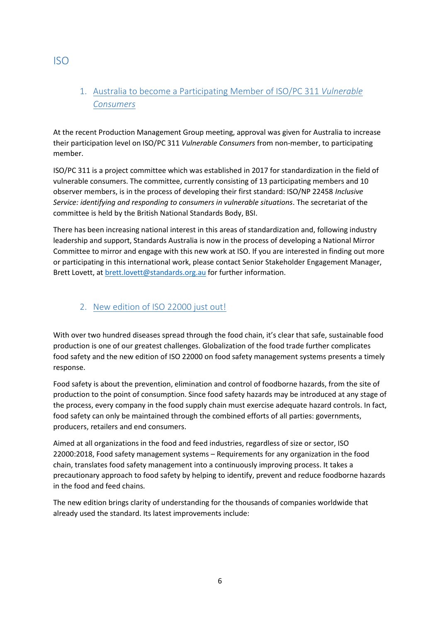# <span id="page-5-0"></span>1. Australia to become a Participating Member of ISO/PC 311 *Vulnerable Consumers*

At the recent Production Management Group meeting, approval was given for Australia to increase their participation level on ISO/PC 311 *Vulnerable Consumers* from non-member, to participating member.

ISO/PC 311 is a project committee which was established in 2017 for standardization in the field of vulnerable consumers. The committee, currently consisting of 13 participating members and 10 observer members, is in the process of developing their first standard: ISO/NP 22458 *Inclusive Service: identifying and responding to consumers in vulnerable situations*. The secretariat of the committee is held by the British National Standards Body, BSI.

There has been increasing national interest in this areas of standardization and, following industry leadership and support, Standards Australia is now in the process of developing a National Mirror Committee to mirror and engage with this new work at ISO. If you are interested in finding out more or participating in this international work, please contact Senior Stakeholder Engagement Manager, Brett Lovett, at [brett.lovett@standards.org.au](mailto:brett.lovett@standards.org.au) for further information.

### <span id="page-5-1"></span>2. New edition of ISO 22000 just out!

With over two hundred diseases spread through the food chain, it's clear that safe, sustainable food production is one of our greatest challenges. Globalization of the food trade further complicates food safety and the new edition of ISO 22000 on food safety management systems presents a timely response.

Food safety is about the prevention, elimination and control of foodborne hazards, from the site of production to the point of consumption. Since food safety hazards may be introduced at any stage of the process, every company in the food supply chain must exercise adequate hazard controls. In fact, food safety can only be maintained through the combined efforts of all parties: governments, producers, retailers and end consumers.

Aimed at all organizations in the food and feed industries, regardless of size or sector, ISO 22000:2018, Food safety management systems – Requirements for any organization in the food chain, translates food safety management into a continuously improving process. It takes a precautionary approach to food safety by helping to identify, prevent and reduce foodborne hazards in the food and feed chains.

The new edition brings clarity of understanding for the thousands of companies worldwide that already used the standard. Its latest improvements include:

# ISO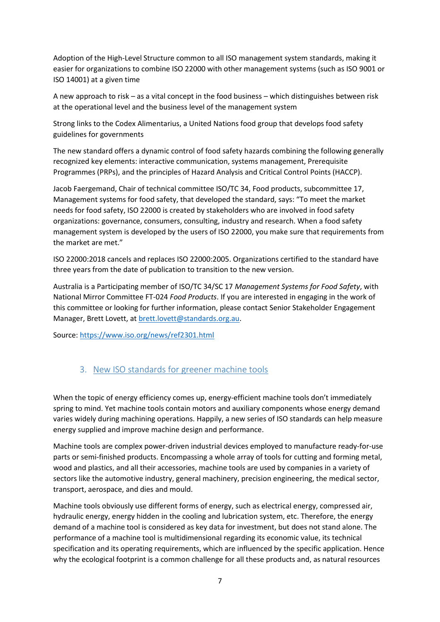Adoption of the High-Level Structure common to all ISO management system standards, making it easier for organizations to combine ISO 22000 with other management systems (such as ISO 9001 or ISO 14001) at a given time

A new approach to risk – as a vital concept in the food business – which distinguishes between risk at the operational level and the business level of the management system

Strong links to the Codex Alimentarius, a United Nations food group that develops food safety guidelines for governments

The new standard offers a dynamic control of food safety hazards combining the following generally recognized key elements: interactive communication, systems management, Prerequisite Programmes (PRPs), and the principles of Hazard Analysis and Critical Control Points (HACCP).

Jacob Faergemand, Chair of technical committee ISO/TC 34, Food products, subcommittee 17, Management systems for food safety, that developed the standard, says: "To meet the market needs for food safety, ISO 22000 is created by stakeholders who are involved in food safety organizations: governance, consumers, consulting, industry and research. When a food safety management system is developed by the users of ISO 22000, you make sure that requirements from the market are met."

ISO 22000:2018 cancels and replaces ISO 22000:2005. Organizations certified to the standard have three years from the date of publication to transition to the new version.

Australia is a Participating member of ISO/TC 34/SC 17 *Management Systems for Food Safety*, with National Mirror Committee FT-024 *Food Products*. If you are interested in engaging in the work of this committee or looking for further information, please contact Senior Stakeholder Engagement Manager, Brett Lovett, a[t brett.lovett@standards.org.au.](mailto:brett.lovett@standards.org.au)

Source:<https://www.iso.org/news/ref2301.html>

### <span id="page-6-0"></span>3. New ISO standards for greener machine tools

When the topic of energy efficiency comes up, energy-efficient machine tools don't immediately spring to mind. Yet machine tools contain motors and auxiliary components whose energy demand varies widely during machining operations. Happily, a new series of ISO standards can help measure energy supplied and improve machine design and performance.

Machine tools are complex power-driven industrial devices employed to manufacture ready-for-use parts or semi-finished products. Encompassing a whole array of tools for cutting and forming metal, wood and plastics, and all their accessories, machine tools are used by companies in a variety of sectors like the automotive industry, general machinery, precision engineering, the medical sector, transport, aerospace, and dies and mould.

Machine tools obviously use different forms of energy, such as electrical energy, compressed air, hydraulic energy, energy hidden in the cooling and lubrication system, etc. Therefore, the energy demand of a machine tool is considered as key data for investment, but does not stand alone. The performance of a machine tool is multidimensional regarding its economic value, its technical specification and its operating requirements, which are influenced by the specific application. Hence why the ecological footprint is a common challenge for all these products and, as natural resources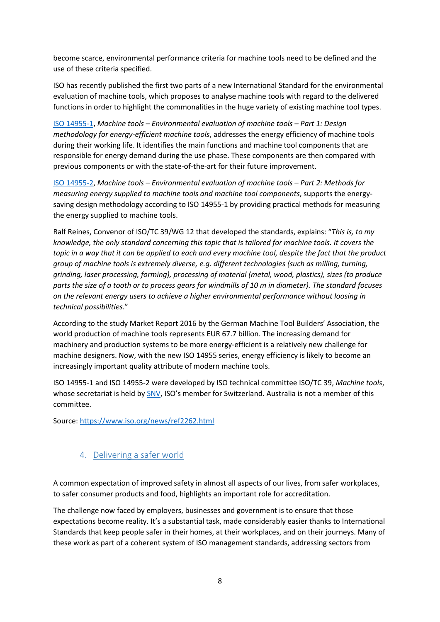become scarce, environmental performance criteria for machine tools need to be defined and the use of these criteria specified.

ISO has recently published the first two parts of a new International Standard for the environmental evaluation of machine tools, which proposes to analyse machine tools with regard to the delivered functions in order to highlight the commonalities in the huge variety of existing machine tool types.

ISO [14955-1,](https://www.iso.org/obp/ui/#iso:std:iso:14955:-1:ed-2:v1:en) *Machine tools – Environmental evaluation of machine tools – Part 1: Design methodology for energy-efficient machine tools*, addresses the energy efficiency of machine tools during their working life. It identifies the main functions and machine tool components that are responsible for energy demand during the use phase. These components are then compared with previous components or with the state-of-the-art for their future improvement.

ISO [14955-2,](https://www.iso.org/standard/66354.html) *Machine tools – Environmental evaluation of machine tools – Part 2: Methods for measuring energy supplied to machine tools and machine tool components*, supports the energysaving design methodology according to ISO 14955-1 by providing practical methods for measuring the energy supplied to machine tools.

Ralf Reines, Convenor of ISO/TC 39/WG 12 that developed the standards, explains: "*This is, to my knowledge, the only standard concerning this topic that is tailored for machine tools. It covers the topic in a way that it can be applied to each and every machine tool, despite the fact that the product group of machine tools is extremely diverse, e.g. different technologies (such as milling, turning, grinding, laser processing, forming), processing of material (metal, wood, plastics), sizes (to produce parts the size of a tooth or to process gears for windmills of 10 m in diameter). The standard focuses on the relevant energy users to achieve a higher environmental performance without loosing in technical possibilities*."

According to the study Market Report 2016 by the German Machine Tool Builders' Association, the world production of machine tools represents EUR 67.7 billion. The increasing demand for machinery and production systems to be more energy-efficient is a relatively new challenge for machine designers. Now, with the new ISO 14955 series, energy efficiency is likely to become an increasingly important quality attribute of modern machine tools.

ISO 14955-1 and ISO 14955-2 were developed by ISO technical committee ISO/TC 39, *Machine tools*, whose secretariat is held by [SNV](https://www.iso.org/member/2106.html), ISO's member for Switzerland. Australia is not a member of this committee.

Source:<https://www.iso.org/news/ref2262.html>

### <span id="page-7-0"></span>4. Delivering a safer world

A common expectation of improved safety in almost all aspects of our lives, from safer workplaces, to safer consumer products and food, highlights an important role for accreditation.

The challenge now faced by employers, businesses and government is to ensure that those expectations become reality. It's a substantial task, made considerably easier thanks to International Standards that keep people safer in their homes, at their workplaces, and on their journeys. Many of these work as part of a coherent system of ISO management standards, addressing sectors from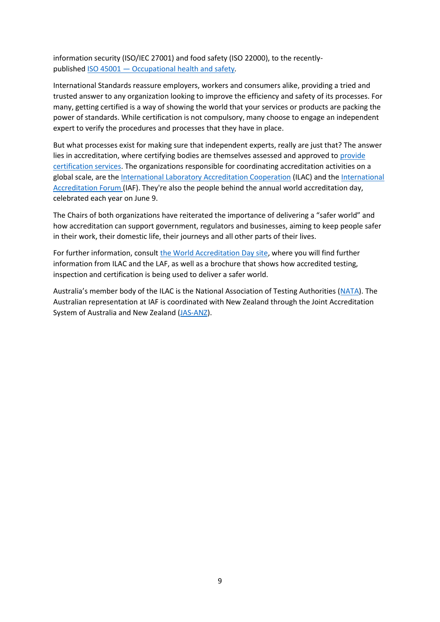information security (ISO/IEC 27001) and food safety (ISO 22000), to the recentlypublished ISO 45001 — [Occupational health and safety](https://www.iso.org/iso-45001-occupational-health-and-safety.html)*.*

International Standards reassure employers, workers and consumers alike, providing a tried and trusted answer to any organization looking to improve the efficiency and safety of its processes. For many, getting certified is a way of showing the world that your services or products are packing the power of standards. While certification is not compulsory, many choose to engage an independent expert to verify the procedures and processes that they have in place.

But what processes exist for making sure that independent experts, really are just that? The answer lies in accreditation, where certifying bodies are themselves assessed and approved to provide [certification services.](https://www.iso.org/certification.html) The organizations responsible for coordinating accreditation activities on a global scale, are the [International Laboratory Accreditation Cooperation](https://ilac.org/) (ILAC) and the [International](https://www.iaf.nu/)  [Accreditation Forum](https://www.iaf.nu/) (IAF). They're also the people behind the annual world accreditation day, celebrated each year on June 9.

The Chairs of both organizations have reiterated the importance of delivering a "safer world" and how accreditation can support government, regulators and businesses, aiming to keep people safer in their work, their domestic life, their journeys and all other parts of their lives.

For further information, consult [the World Accreditation Day site,](http://ilac.org/news-and-events/world-accreditation-day/) where you will find further information from ILAC and the LAF, as well as a brochure that shows how accredited testing, inspection and certification is being used to deliver a safer world.

<span id="page-8-0"></span>Australia's member body of the ILAC is the National Association of Testing Authorities ([NATA\)](http://www.nata.com.au/). The Australian representation at IAF is coordinated with New Zealand through the Joint Accreditation System of Australia and New Zealand [\(JAS-ANZ\)](http://www.jas-anz.org/).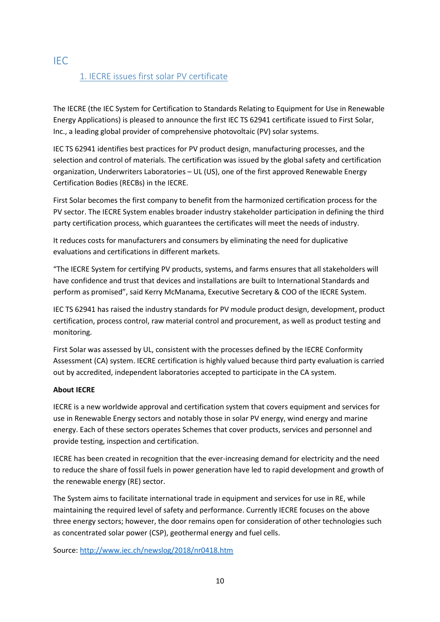# 1. IECRE issues first solar PV certificate

The IECRE (the IEC System for Certification to Standards Relating to Equipment for Use in Renewable Energy Applications) is pleased to announce the first IEC TS 62941 certificate issued to First Solar, Inc., a leading global provider of comprehensive photovoltaic (PV) solar systems.

IEC TS 62941 identifies best practices for PV product design, manufacturing processes, and the selection and control of materials. The certification was issued by the global safety and certification organization, Underwriters Laboratories – UL (US), one of the first approved Renewable Energy Certification Bodies (RECBs) in the IECRE.

First Solar becomes the first company to benefit from the harmonized certification process for the PV sector. The IECRE System enables broader industry stakeholder participation in defining the third party certification process, which guarantees the certificates will meet the needs of industry.

It reduces costs for manufacturers and consumers by eliminating the need for duplicative evaluations and certifications in different markets.

"The IECRE System for certifying PV products, systems, and farms ensures that all stakeholders will have confidence and trust that devices and installations are built to International Standards and perform as promised", said Kerry McManama, Executive Secretary & COO of the IECRE System.

IEC TS 62941 has raised the industry standards for PV module product design, development, product certification, process control, raw material control and procurement, as well as product testing and monitoring.

First Solar was assessed by UL, consistent with the processes defined by the IECRE Conformity Assessment (CA) system. IECRE certification is highly valued because third party evaluation is carried out by accredited, independent laboratories accepted to participate in the CA system.

#### **About IECRE**

IECRE is a new worldwide approval and certification system that covers equipment and services for use in Renewable Energy sectors and notably those in solar PV energy, wind energy and marine energy. Each of these sectors operates Schemes that cover products, services and personnel and provide testing, inspection and certification.

IECRE has been created in recognition that the ever-increasing demand for electricity and the need to reduce the share of fossil fuels in power generation have led to rapid development and growth of the renewable energy (RE) sector.

The System aims to facilitate international trade in equipment and services for use in RE, while maintaining the required level of safety and performance. Currently IECRE focuses on the above three energy sectors; however, the door remains open for consideration of other technologies such as concentrated solar power (CSP), geothermal energy and fuel cells.

Source:<http://www.iec.ch/newslog/2018/nr0418.htm>

#### <span id="page-9-0"></span>IEC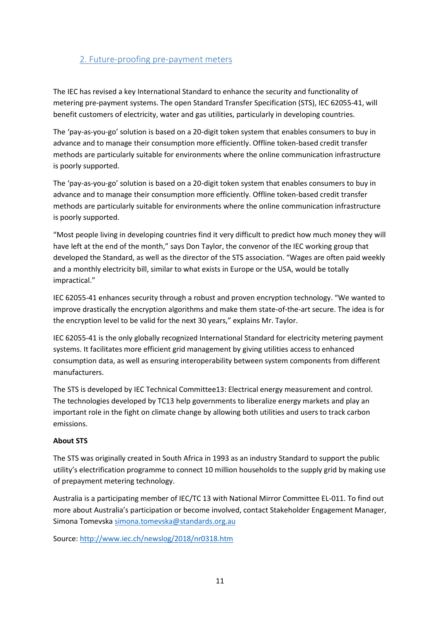### <span id="page-10-0"></span>2. Future-proofing pre-payment meters

The IEC has revised a key International Standard to enhance the security and functionality of metering pre-payment systems. The open Standard Transfer Specification (STS), IEC 62055-41, will benefit customers of electricity, water and gas utilities, particularly in developing countries.

The 'pay-as-you-go' solution is based on a 20-digit token system that enables consumers to buy in advance and to manage their consumption more efficiently. Offline token-based credit transfer methods are particularly suitable for environments where the online communication infrastructure is poorly supported.

The 'pay-as-you-go' solution is based on a 20-digit token system that enables consumers to buy in advance and to manage their consumption more efficiently. Offline token-based credit transfer methods are particularly suitable for environments where the online communication infrastructure is poorly supported.

"Most people living in developing countries find it very difficult to predict how much money they will have left at the end of the month," says Don Taylor, the convenor of the IEC working group that developed the Standard, as well as the director of the STS association. "Wages are often paid weekly and a monthly electricity bill, similar to what exists in Europe or the USA, would be totally impractical."

IEC 62055-41 enhances security through a robust and proven encryption technology. "We wanted to improve drastically the encryption algorithms and make them state-of-the-art secure. The idea is for the encryption level to be valid for the next 30 years," explains Mr. Taylor.

IEC 62055-41 is the only globally recognized International Standard for electricity metering payment systems. It facilitates more efficient grid management by giving utilities access to enhanced consumption data, as well as ensuring interoperability between system components from different manufacturers.

The STS is developed by IEC Technical Committee13: Electrical energy measurement and control. The technologies developed by TC13 help governments to liberalize energy markets and play an important role in the fight on climate change by allowing both utilities and users to track carbon emissions.

#### **About STS**

The STS was originally created in South Africa in 1993 as an industry Standard to support the public utility's electrification programme to connect 10 million households to the supply grid by making use of prepayment metering technology.

Australia is a participating member of IEC/TC 13 with National Mirror Committee EL-011. To find out more about Australia's participation or become involved, contact Stakeholder Engagement Manager, Simona Tomevska [simona.tomevska@standards.org.au](mailto:simona.tomevska@standards.org.au) 

Source:<http://www.iec.ch/newslog/2018/nr0318.htm>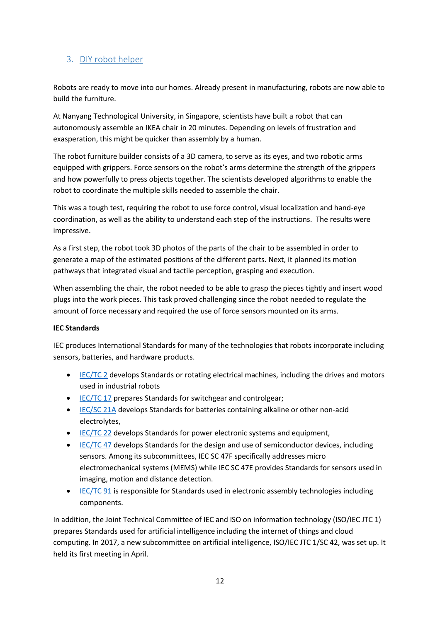### <span id="page-11-0"></span>3. DIY robot helper

Robots are ready to move into our homes. Already present in manufacturing, robots are now able to build the furniture.

At Nanyang Technological University, in Singapore, scientists have built a robot that can autonomously assemble an IKEA chair in 20 minutes. Depending on levels of frustration and exasperation, this might be quicker than assembly by a human.

The robot furniture builder consists of a 3D camera, to serve as its eyes, and two robotic arms equipped with grippers. Force sensors on the robot's arms determine the strength of the grippers and how powerfully to press objects together. The scientists developed algorithms to enable the robot to coordinate the multiple skills needed to assemble the chair.

This was a tough test, requiring the robot to use force control, visual localization and hand-eye coordination, as well as the ability to understand each step of the instructions. The results were impressive.

As a first step, the robot took 3D photos of the parts of the chair to be assembled in order to generate a map of the estimated positions of the different parts. Next, it planned its motion pathways that integrated visual and tactile perception, grasping and execution.

When assembling the chair, the robot needed to be able to grasp the pieces tightly and insert wood plugs into the work pieces. This task proved challenging since the robot needed to regulate the amount of force necessary and required the use of force sensors mounted on its arms.

#### **IEC Standards**

IEC produces International Standards for many of the technologies that robots incorporate including sensors, batteries, and hardware products.

- [IEC/TC 2](http://www.iec.ch/tc2) develops Standards or rotating electrical machines, including the drives and motors used in industrial robots
- [IEC/TC 17](http://www.iec.ch/tc17) prepares Standards for switchgear and controlgear;
- [IEC/SC 21A](http://www.iec.ch/sc21a) develops Standards for batteries containing alkaline or other non-acid electrolytes,
- [IEC/TC 22](http://www.iec.ch/tc22) develops Standards for power electronic systems and equipment,
- [IEC/TC 47](http://www.iec.ch/tc47) develops Standards for the design and use of semiconductor devices, including sensors. Among its subcommittees, IEC SC 47F specifically addresses micro electromechanical systems (MEMS) while IEC SC 47E provides Standards for sensors used in imaging, motion and distance detection.
- [IEC/TC 91](http://www.iec.ch/tc91) is responsible for Standards used in electronic assembly technologies including components.

In addition, the Joint Technical Committee of IEC and ISO on information technology (ISO/IEC JTC 1) prepares Standards used for artificial intelligence including the internet of things and cloud computing. In 2017, a new subcommittee on artificial intelligence, ISO/IEC JTC 1/SC 42, was set up. It held its first meeting in April.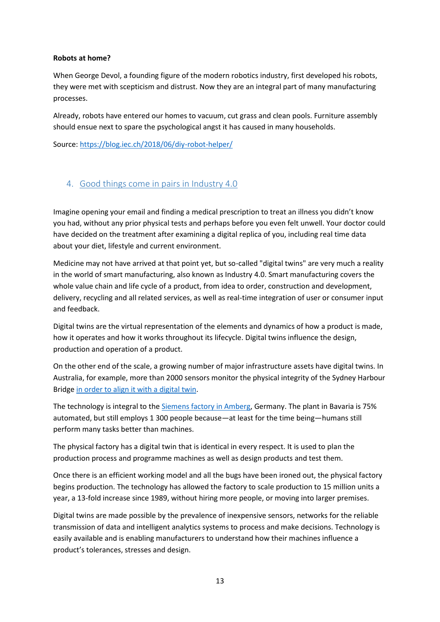#### **Robots at home?**

When George Devol, a founding figure of the modern robotics industry, first developed his robots, they were met with scepticism and distrust. Now they are an integral part of many manufacturing processes.

Already, robots have entered our homes to vacuum, cut grass and clean pools. Furniture assembly should ensue next to spare the psychological angst it has caused in many households.

Source:<https://blog.iec.ch/2018/06/diy-robot-helper/>

### <span id="page-12-0"></span>4. Good things come in pairs in Industry 4.0

Imagine opening your email and finding a medical prescription to treat an illness you didn't know you had, without any prior physical tests and perhaps before you even felt unwell. Your doctor could have decided on the treatment after examining a digital replica of you, including real time data about your diet, lifestyle and current environment.

Medicine may not have arrived at that point yet, but so-called "digital twins" are very much a reality in the world of smart manufacturing, also known as Industry 4.0. Smart manufacturing covers the whole value chain and life cycle of a product, from idea to order, construction and development, delivery, recycling and all related services, as well as real-time integration of user or consumer input and feedback.

Digital twins are the virtual representation of the elements and dynamics of how a product is made, how it operates and how it works throughout its lifecycle. Digital twins influence the design, production and operation of a product.

On the other end of the scale, a growing number of major infrastructure assets have digital twins. In Australia, for example, more than 2000 sensors monitor the physical integrity of the Sydney Harbour Bridge [in order to align it with a digital twin.](https://www.iiconsortium.org/pdf/Smart_Factory_Applications_in_Discrete_Mfg_white_paper_20170222.pdf)

The technology is integral to the [Siemens factory in Amberg,](http://www.xinhuanet.com/english/2018-04/24/c_137133861.htm) Germany. The plant in Bavaria is 75% automated, but still employs 1 300 people because—at least for the time being—humans still perform many tasks better than machines.

The physical factory has a digital twin that is identical in every respect. It is used to plan the production process and programme machines as well as design products and test them.

Once there is an efficient working model and all the bugs have been ironed out, the physical factory begins production. The technology has allowed the factory to scale production to 15 million units a year, a 13-fold increase since 1989, without hiring more people, or moving into larger premises.

Digital twins are made possible by the prevalence of inexpensive sensors, networks for the reliable transmission of data and intelligent analytics systems to process and make decisions. Technology is easily available and is enabling manufacturers to understand how their machines influence a product's tolerances, stresses and design.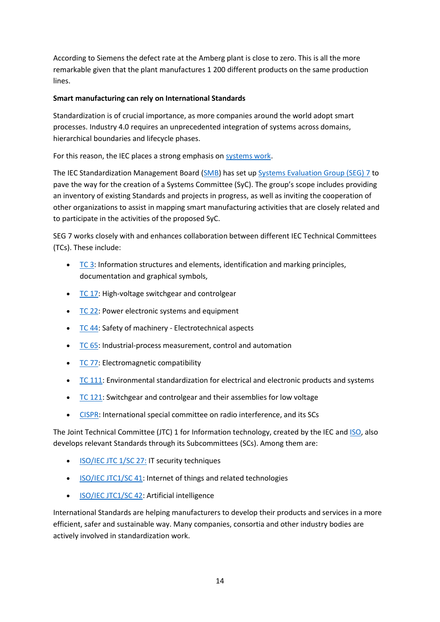According to Siemens the defect rate at the Amberg plant is close to zero. This is all the more remarkable given that the plant manufactures 1 200 different products on the same production lines.

#### **Smart manufacturing can rely on International Standards**

Standardization is of crucial importance, as more companies around the world adopt smart processes. Industry 4.0 requires an unprecedented integration of systems across domains, hierarchical boundaries and lifecycle phases.

#### For this reason, the IEC places a strong emphasis on [systems work.](http://www.iec.ch/about/activities/systemswork.htm)

The IEC Standardization Management Board [\(SMB\)](http://www.iec.ch/dyn/www/f?p=103:47:0::::FSP_ORG_ID,FSP_LANG_ID:3228,25) has set up [Systems Evaluation Group \(SEG\) 7](http://www.iec.ch/dyn/www/f?p=103:186:0::::FSP_ORG_ID,FSP_LANG_ID:19321,25) to pave the way for the creation of a Systems Committee (SyC). The group's scope includes providing an inventory of existing Standards and projects in progress, as well as inviting the cooperation of other organizations to assist in mapping smart manufacturing activities that are closely related and to participate in the activities of the proposed SyC.

SEG 7 works closely with and enhances collaboration between different IEC Technical Committees (TCs). These include:

- [TC 3:](http://www.iec.ch/tc3) Information structures and elements, identification and marking principles, documentation and graphical symbols,
- [TC 17:](http://www.iec.ch/tc17) High-voltage switchgear and controlgear
- $\overline{\text{TC 22}}$ : Power electronic systems and equipment
- [TC 44:](http://www.iec.ch/tc44) Safety of machinery Electrotechnical aspects
- [TC 65:](http://www.iec.ch/tc65) Industrial-process measurement, control and automation
- [TC 77:](http://www.iec.ch/tc77) Electromagnetic compatibility
- [TC 111:](http://www.iec.ch/tc111) Environmental standardization for electrical and electronic products and systems
- [TC 121:](http://www.iec.ch/tc121) Switchgear and controlgear and their assemblies for low voltage
- [CISPR:](http://www.iec.ch/dyn/www/f?p=103:7:0::::FSP_ORG_ID,FSP_LANG_ID:1298,25) International special committee on radio interference, and its SCs

The Joint Technical Committee (JTC) 1 for Information technology, created by the IEC and [ISO,](https://www.iso.org/home.html) also develops relevant Standards through its Subcommittees (SCs). Among them are:

- [ISO/IEC JTC 1/SC](http://www.iec.ch/dyn/www/f?p=103:7:0::::FSP_ORG_ID:3401) 27: IT security techniques
- [ISO/IEC JTC1/SC 41:](http://www.iec.ch/dyn/www/f?p=103:7:0::::FSP_ORG_ID:20486) Internet of things and related technologies
- [ISO/IEC JTC1/SC 42:](http://www.iec.ch/dyn/www/f?p=103:7:0::::FSP_ORG_ID:21538) Artificial intelligence

International Standards are helping manufacturers to develop their products and services in a more efficient, safer and sustainable way. Many companies, consortia and other industry bodies are actively involved in standardization work.